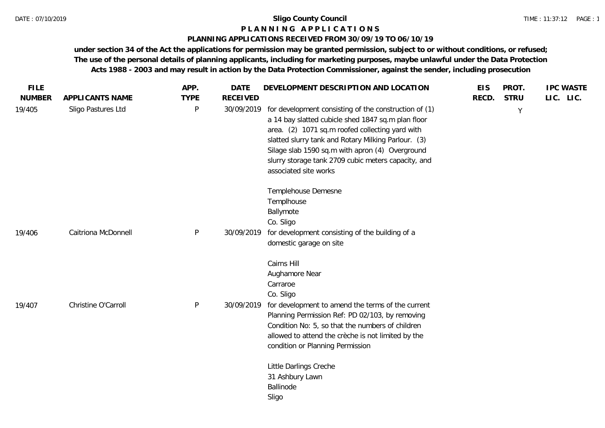# **P L A N N I N G A P P L I C A T I O N S**

## **PLANNING APPLICATIONS RECEIVED FROM 30/09/19 TO 06/10/19**

| <b>FILE</b>   |                     | APP.        | <b>DATE</b>     | DEVELOPMENT DESCRIPTION AND LOCATION                                                                                                                                                                                                                                                                                                                     | <b>EIS</b> | PROT.       | <b>IPC WASTE</b> |
|---------------|---------------------|-------------|-----------------|----------------------------------------------------------------------------------------------------------------------------------------------------------------------------------------------------------------------------------------------------------------------------------------------------------------------------------------------------------|------------|-------------|------------------|
| <b>NUMBER</b> | APPLICANTS NAME     | <b>TYPE</b> | <b>RECEIVED</b> |                                                                                                                                                                                                                                                                                                                                                          | RECD.      | <b>STRU</b> | LIC. LIC.        |
| 19/405        | Sligo Pastures Ltd  | P           | 30/09/2019      | for development consisting of the construction of (1)<br>a 14 bay slatted cubicle shed 1847 sq.m plan floor<br>area. (2) 1071 sq.m roofed collecting yard with<br>slatted slurry tank and Rotary Milking Parlour. (3)<br>Silage slab 1590 sq.m with apron (4) Overground<br>slurry storage tank 2709 cubic meters capacity, and<br>associated site works |            | Y           |                  |
|               |                     |             |                 | Templehouse Demesne<br>Templhouse<br>Ballymote<br>Co. Sligo                                                                                                                                                                                                                                                                                              |            |             |                  |
| 19/406        | Caitriona McDonnell | P           | 30/09/2019      | for development consisting of the building of a<br>domestic garage on site                                                                                                                                                                                                                                                                               |            |             |                  |
|               |                     |             |                 | Cairns Hill<br>Aughamore Near<br>Carraroe<br>Co. Sligo                                                                                                                                                                                                                                                                                                   |            |             |                  |
| 19/407        | Christine O'Carroll | P           | 30/09/2019      | for development to amend the terms of the current<br>Planning Permission Ref: PD 02/103, by removing<br>Condition No: 5, so that the numbers of children<br>allowed to attend the crèche is not limited by the<br>condition or Planning Permission                                                                                                       |            |             |                  |
|               |                     |             |                 | Little Darlings Creche<br>31 Ashbury Lawn<br>Ballinode<br>Sligo                                                                                                                                                                                                                                                                                          |            |             |                  |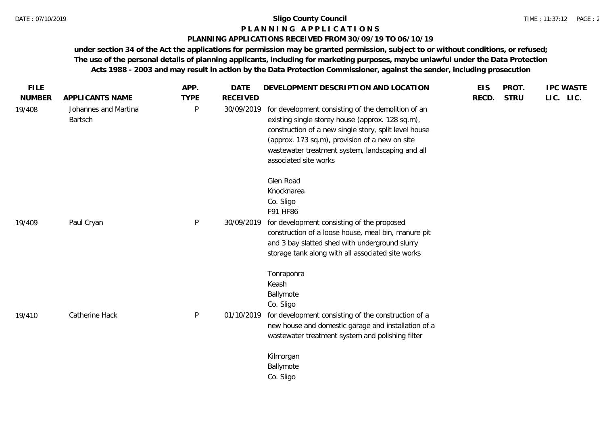# **P L A N N I N G A P P L I C A T I O N S**

# **PLANNING APPLICATIONS RECEIVED FROM 30/09/19 TO 06/10/19**

| <b>FILE</b><br><b>NUMBER</b> | APPLICANTS NAME                 | APP.<br><b>TYPE</b> | <b>DATE</b><br><b>RECEIVED</b> | DEVELOPMENT DESCRIPTION AND LOCATION                                                                                                                                                                                                                                                           | <b>EIS</b><br>RECD. | PROT.<br><b>STRU</b> | <b>IPC WASTE</b><br>LIC. LIC. |
|------------------------------|---------------------------------|---------------------|--------------------------------|------------------------------------------------------------------------------------------------------------------------------------------------------------------------------------------------------------------------------------------------------------------------------------------------|---------------------|----------------------|-------------------------------|
| 19/408                       | Johannes and Martina<br>Bartsch | P                   | 30/09/2019                     | for development consisting of the demolition of an<br>existing single storey house (approx. 128 sq.m),<br>construction of a new single story, split level house<br>(approx. 173 sq.m), provision of a new on site<br>wastewater treatment system, landscaping and all<br>associated site works |                     |                      |                               |
|                              |                                 |                     |                                | Glen Road<br>Knocknarea<br>Co. Sligo<br>F91 HF86                                                                                                                                                                                                                                               |                     |                      |                               |
| 19/409                       | Paul Cryan                      | P                   | 30/09/2019                     | for development consisting of the proposed<br>construction of a loose house, meal bin, manure pit<br>and 3 bay slatted shed with underground slurry<br>storage tank along with all associated site works                                                                                       |                     |                      |                               |
|                              |                                 |                     |                                | Tonraponra<br>Keash<br>Ballymote<br>Co. Sligo                                                                                                                                                                                                                                                  |                     |                      |                               |
| 19/410                       | Catherine Hack                  | P                   | 01/10/2019                     | for development consisting of the construction of a<br>new house and domestic garage and installation of a<br>wastewater treatment system and polishing filter                                                                                                                                 |                     |                      |                               |
|                              |                                 |                     |                                | Kilmorgan<br>Ballymote<br>Co. Sligo                                                                                                                                                                                                                                                            |                     |                      |                               |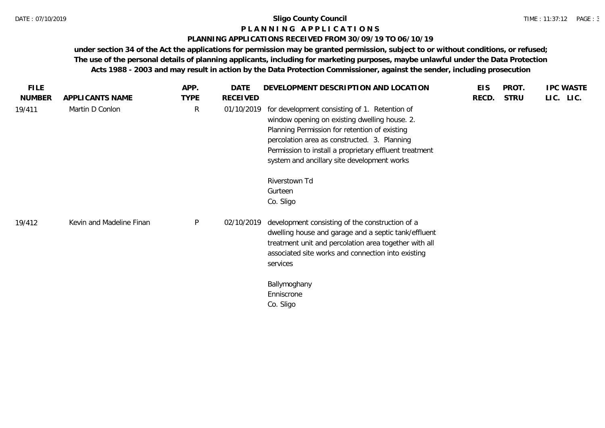# **P L A N N I N G A P P L I C A T I O N S**

# **PLANNING APPLICATIONS RECEIVED FROM 30/09/19 TO 06/10/19**

| <b>FILE</b>   |                          | APP.         | DATE       | DEVELOPMENT DESCRIPTION AND LOCATION                                                                                                                                                                                                                                                                     | <b>EIS</b> | PROT.       | <b>IPC WASTE</b> |
|---------------|--------------------------|--------------|------------|----------------------------------------------------------------------------------------------------------------------------------------------------------------------------------------------------------------------------------------------------------------------------------------------------------|------------|-------------|------------------|
| <b>NUMBER</b> | APPLICANTS NAME          | <b>TYPE</b>  | RECEIVED   |                                                                                                                                                                                                                                                                                                          | RECD.      | <b>STRU</b> | LIC. LIC.        |
| 19/411        | Martin D Conlon          | $\mathsf{R}$ | 01/10/2019 | for development consisting of 1. Retention of<br>window opening on existing dwelling house. 2.<br>Planning Permission for retention of existing<br>percolation area as constructed. 3. Planning<br>Permission to install a proprietary effluent treatment<br>system and ancillary site development works |            |             |                  |
|               |                          |              |            | Riverstown Td<br>Gurteen<br>Co. Sligo                                                                                                                                                                                                                                                                    |            |             |                  |
| 19/412        | Kevin and Madeline Finan | $\mathsf{P}$ | 02/10/2019 | development consisting of the construction of a<br>dwelling house and garage and a septic tank/effluent<br>treatment unit and percolation area together with all<br>associated site works and connection into existing<br>services                                                                       |            |             |                  |
|               |                          |              |            | Ballymoghany<br>Enniscrone<br>Co. Sligo                                                                                                                                                                                                                                                                  |            |             |                  |
|               |                          |              |            |                                                                                                                                                                                                                                                                                                          |            |             |                  |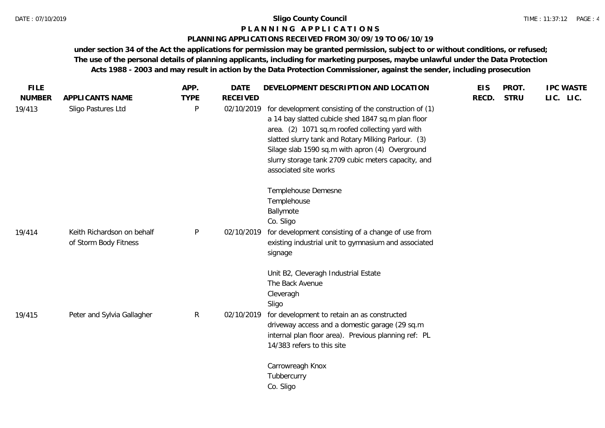# **P L A N N I N G A P P L I C A T I O N S**

## **PLANNING APPLICATIONS RECEIVED FROM 30/09/19 TO 06/10/19**

| <b>FILE</b>   |                                                     | APP.        | <b>DATE</b>     | DEVELOPMENT DESCRIPTION AND LOCATION                                                                                                                                                                                                                                                                                                                     | <b>EIS</b> | PROT.       | <b>IPC WASTE</b> |
|---------------|-----------------------------------------------------|-------------|-----------------|----------------------------------------------------------------------------------------------------------------------------------------------------------------------------------------------------------------------------------------------------------------------------------------------------------------------------------------------------------|------------|-------------|------------------|
| <b>NUMBER</b> | APPLICANTS NAME                                     | <b>TYPE</b> | <b>RECEIVED</b> |                                                                                                                                                                                                                                                                                                                                                          | RECD.      | <b>STRU</b> | LIC. LIC.        |
| 19/413        | Sligo Pastures Ltd                                  | P           | 02/10/2019      | for development consisting of the construction of (1)<br>a 14 bay slatted cubicle shed 1847 sq.m plan floor<br>area. (2) 1071 sq.m roofed collecting yard with<br>slatted slurry tank and Rotary Milking Parlour. (3)<br>Silage slab 1590 sq.m with apron (4) Overground<br>slurry storage tank 2709 cubic meters capacity, and<br>associated site works |            |             |                  |
|               |                                                     |             |                 | Templehouse Demesne<br>Templehouse<br>Ballymote<br>Co. Sligo                                                                                                                                                                                                                                                                                             |            |             |                  |
| 19/414        | Keith Richardson on behalf<br>of Storm Body Fitness | P           | 02/10/2019      | for development consisting of a change of use from<br>existing industrial unit to gymnasium and associated<br>signage                                                                                                                                                                                                                                    |            |             |                  |
| 19/415        | Peter and Sylvia Gallagher                          | R           | 02/10/2019      | Unit B2, Cleveragh Industrial Estate<br>The Back Avenue<br>Cleveragh<br>Sligo<br>for development to retain an as constructed<br>driveway access and a domestic garage (29 sq.m<br>internal plan floor area). Previous planning ref: PL<br>14/383 refers to this site                                                                                     |            |             |                  |
|               |                                                     |             |                 | Carrowreagh Knox<br>Tubbercurry<br>Co. Sligo                                                                                                                                                                                                                                                                                                             |            |             |                  |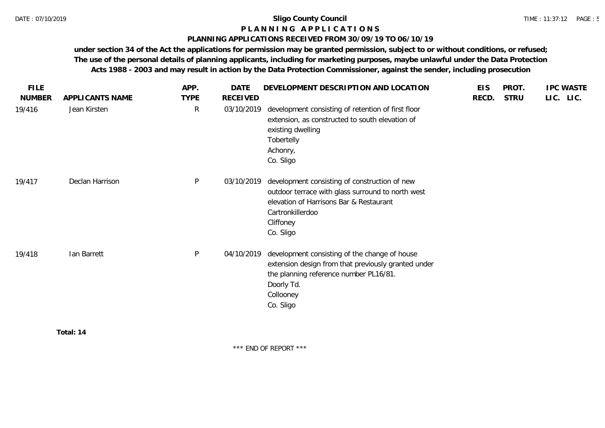# **P L A N N I N G A P P L I C A T I O N S**

# **PLANNING APPLICATIONS RECEIVED FROM 30/09/19 TO 06/10/19**

**under section 34 of the Act the applications for permission may be granted permission, subject to or without conditions, or refused; The use of the personal details of planning applicants, including for marketing purposes, maybe unlawful under the Data Protection Acts 1988 - 2003 and may result in action by the Data Protection Commissioner, against the sender, including prosecution**

| <b>FILE</b>   |                 | APP.         | <b>DATE</b> | DEVELOPMENT DESCRIPTION AND LOCATION                                                                                                                                                        | <b>EIS</b> | PROT.       | <b>IPC WASTE</b> |
|---------------|-----------------|--------------|-------------|---------------------------------------------------------------------------------------------------------------------------------------------------------------------------------------------|------------|-------------|------------------|
| <b>NUMBER</b> | APPLICANTS NAME | <b>TYPE</b>  | RECEIVED    |                                                                                                                                                                                             | RECD.      | <b>STRU</b> | LIC. LIC.        |
| 19/416        | Jean Kirsten    | $\mathsf{R}$ | 03/10/2019  | development consisting of retention of first floor<br>extension, as constructed to south elevation of<br>existing dwelling<br>Tobertelly<br>Achonry,<br>Co. Sligo                           |            |             |                  |
| 19/417        | Declan Harrison | $\mathsf{P}$ | 03/10/2019  | development consisting of construction of new<br>outdoor terrace with glass surround to north west<br>elevation of Harrisons Bar & Restaurant<br>Cartronkillerdoo<br>Cliffoney<br>Co. Sligo |            |             |                  |
| 19/418        | Ian Barrett     | $\mathsf{P}$ | 04/10/2019  | development consisting of the change of house<br>extension design from that previously granted under<br>the planning reference number PL16/81.<br>Doorly Td.<br>Collooney<br>Co. Sligo      |            |             |                  |
|               | Total: 14       |              |             |                                                                                                                                                                                             |            |             |                  |

\*\*\* END OF REPORT \*\*\*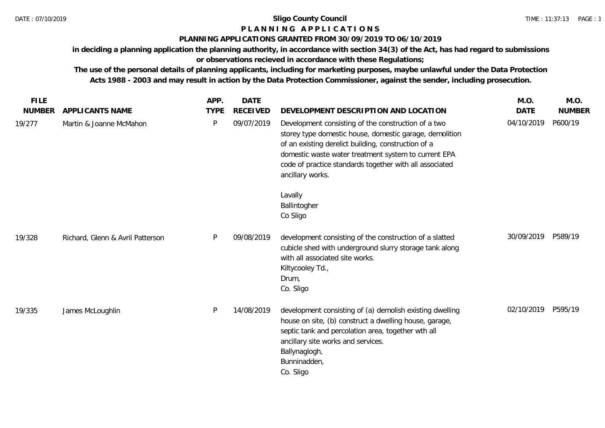# **P L A N N I N G A P P L I C A T I O N S**

# **PLANNING APPLICATIONS GRANTED FROM 30/09/2019 TO 06/10/2019**

**in deciding a planning application the planning authority, in accordance with section 34(3) of the Act, has had regard to submissions** 

**or observations recieved in accordance with these Regulations;**

**The use of the personal details of planning applicants, including for marketing purposes, maybe unlawful under the Data Protection Acts 1988 - 2003 and may result in action by the Data Protection Commissioner, against the sender, including prosecution.**

| <b>FILE</b>   |                                  | APP.        | <b>DATE</b>     |                                                                                                                                                                                                                                                                                                              | M.O.        | M.O.          |
|---------------|----------------------------------|-------------|-----------------|--------------------------------------------------------------------------------------------------------------------------------------------------------------------------------------------------------------------------------------------------------------------------------------------------------------|-------------|---------------|
| <b>NUMBER</b> | APPLICANTS NAME                  | <b>TYPE</b> | <b>RECEIVED</b> | DEVELOPMENT DESCRIPTION AND LOCATION                                                                                                                                                                                                                                                                         | <b>DATE</b> | <b>NUMBER</b> |
| 19/277        | Martin & Joanne McMahon          | P           | 09/07/2019      | Development consisting of the construction of a two<br>storey type domestic house, domestic garage, demolition<br>of an existing derelict building, construction of a<br>domestic waste water treatment system to current EPA<br>code of practice standards together with all associated<br>ancillary works. | 04/10/2019  | P600/19       |
|               |                                  |             |                 | Lavally<br>Ballintogher<br>Co Sligo                                                                                                                                                                                                                                                                          |             |               |
| 19/328        | Richard, Glenn & Avril Patterson | P           | 09/08/2019      | development consisting of the construction of a slatted<br>cubicle shed with underground slurry storage tank along<br>with all associated site works.<br>Kiltycooley Td.,<br>Drum,<br>Co. Sligo                                                                                                              | 30/09/2019  | P589/19       |
| 19/335        | James McLoughlin                 | P           | 14/08/2019      | development consisting of (a) demolish existing dwelling<br>house on site, (b) construct a dwelling house, garage,<br>septic tank and percolation area, together wth all<br>ancillary site works and services.<br>Ballynaglogh,<br>Bunninadden,<br>Co. Sligo                                                 | 02/10/2019  | P595/19       |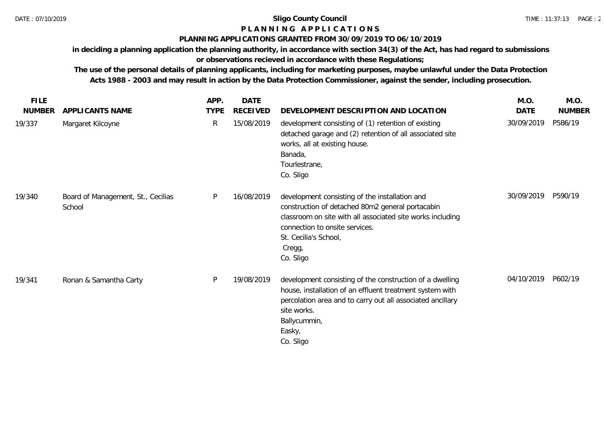# **P L A N N I N G A P P L I C A T I O N S**

# **PLANNING APPLICATIONS GRANTED FROM 30/09/2019 TO 06/10/2019**

**in deciding a planning application the planning authority, in accordance with section 34(3) of the Act, has had regard to submissions or observations recieved in accordance with these Regulations;**

**The use of the personal details of planning applicants, including for marketing purposes, maybe unlawful under the Data Protection Acts 1988 - 2003 and may result in action by the Data Protection Commissioner, against the sender, including prosecution.**

| <b>FILE</b>   |                                              | APP.        | <b>DATE</b> |                                                                                                                                                                                                                                                    | M.O.       | M.O.          |
|---------------|----------------------------------------------|-------------|-------------|----------------------------------------------------------------------------------------------------------------------------------------------------------------------------------------------------------------------------------------------------|------------|---------------|
| <b>NUMBER</b> | APPLICANTS NAME                              | <b>TYPE</b> | RECEIVED    | DEVELOPMENT DESCRIPTION AND LOCATION                                                                                                                                                                                                               | DATE       | <b>NUMBER</b> |
| 19/337        | Margaret Kilcoyne                            | R           | 15/08/2019  | development consisting of (1) retention of existing<br>detached garage and (2) retention of all associated site<br>works, all at existing house.<br>Banada,<br>Tourlestrane,<br>Co. Sligo                                                          | 30/09/2019 | P586/19       |
| 19/340        | Board of Management, St., Cecilias<br>School | P           | 16/08/2019  | development consisting of the installation and<br>construction of detached 80m2 general portacabin<br>classroom on site with all associated site works including<br>connection to onsite services.<br>St. Cecilia's School,<br>Cregg,<br>Co. Sligo | 30/09/2019 | P590/19       |
| 19/341        | Ronan & Samantha Carty                       | P           | 19/08/2019  | development consisting of the construction of a dwelling<br>house, installation of an effluent treatment system with<br>percolation area and to carry out all associated ancillary<br>site works.<br>Ballycummin,<br>Easky,<br>Co. Sligo           | 04/10/2019 | P602/19       |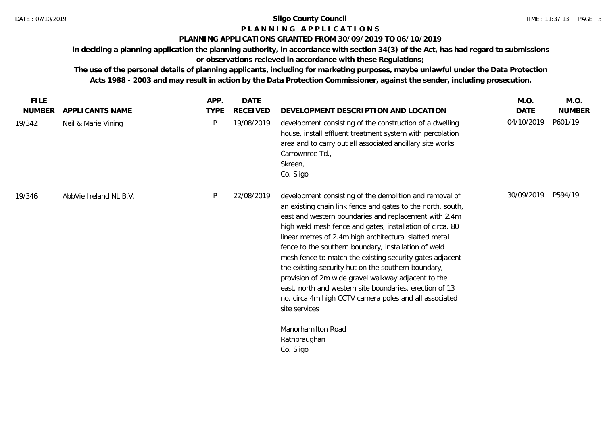# **P L A N N I N G A P P L I C A T I O N S**

# **PLANNING APPLICATIONS GRANTED FROM 30/09/2019 TO 06/10/2019**

**in deciding a planning application the planning authority, in accordance with section 34(3) of the Act, has had regard to submissions or observations recieved in accordance with these Regulations;**

**The use of the personal details of planning applicants, including for marketing purposes, maybe unlawful under the Data Protection Acts 1988 - 2003 and may result in action by the Data Protection Commissioner, against the sender, including prosecution.**

| <b>FILE</b>   |                        | APP.        | <b>DATE</b>     |                                                                                                                                                                                                                                                                                                                                                                                                                                                                                                                                                                                                                                                                                | M.O.        | M.O.          |
|---------------|------------------------|-------------|-----------------|--------------------------------------------------------------------------------------------------------------------------------------------------------------------------------------------------------------------------------------------------------------------------------------------------------------------------------------------------------------------------------------------------------------------------------------------------------------------------------------------------------------------------------------------------------------------------------------------------------------------------------------------------------------------------------|-------------|---------------|
| <b>NUMBER</b> | <b>APPLICANTS NAME</b> | <b>TYPE</b> | <b>RECEIVED</b> | DEVELOPMENT DESCRIPTION AND LOCATION                                                                                                                                                                                                                                                                                                                                                                                                                                                                                                                                                                                                                                           | <b>DATE</b> | <b>NUMBER</b> |
| 19/342        | Neil & Marie Vining    | P           | 19/08/2019      | development consisting of the construction of a dwelling<br>house, install effluent treatment system with percolation<br>area and to carry out all associated ancillary site works.<br>Carrownree Td.,<br>Skreen,<br>Co. Sligo                                                                                                                                                                                                                                                                                                                                                                                                                                                 | 04/10/2019  | P601/19       |
| 19/346        | AbbVie Ireland NL B.V. | P           | 22/08/2019      | development consisting of the demolition and removal of<br>an existing chain link fence and gates to the north, south,<br>east and western boundaries and replacement with 2.4m<br>high weld mesh fence and gates, installation of circa. 80<br>linear metres of 2.4m high architectural slatted metal<br>fence to the southern boundary, installation of weld<br>mesh fence to match the existing security gates adjacent<br>the existing security hut on the southern boundary,<br>provision of 2m wide gravel walkway adjacent to the<br>east, north and western site boundaries, erection of 13<br>no. circa 4m high CCTV camera poles and all associated<br>site services | 30/09/2019  | P594/19       |
|               |                        |             |                 | Manorhamilton Road<br>Rathbraughan<br>Co. Sligo                                                                                                                                                                                                                                                                                                                                                                                                                                                                                                                                                                                                                                |             |               |
|               |                        |             |                 |                                                                                                                                                                                                                                                                                                                                                                                                                                                                                                                                                                                                                                                                                |             |               |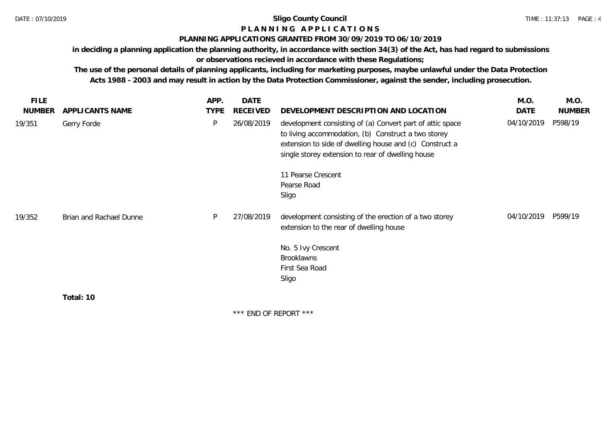# **P L A N N I N G A P P L I C A T I O N S**

# **PLANNING APPLICATIONS GRANTED FROM 30/09/2019 TO 06/10/2019**

**in deciding a planning application the planning authority, in accordance with section 34(3) of the Act, has had regard to submissions** 

**or observations recieved in accordance with these Regulations;**

**The use of the personal details of planning applicants, including for marketing purposes, maybe unlawful under the Data Protection Acts 1988 - 2003 and may result in action by the Data Protection Commissioner, against the sender, including prosecution.**

| FILE.         |                         | APP.        | <b>DATE</b>               |                                                                                                                                                                                                                                  | M.O.       | M.O.          |
|---------------|-------------------------|-------------|---------------------------|----------------------------------------------------------------------------------------------------------------------------------------------------------------------------------------------------------------------------------|------------|---------------|
| <b>NUMBER</b> | APPLICANTS NAME         | <b>TYPE</b> | <b>RECEIVED</b>           | DEVELOPMENT DESCRIPTION AND LOCATION                                                                                                                                                                                             | DATE       | <b>NUMBER</b> |
| 19/351        | Gerry Forde             | P           | 26/08/2019                | development consisting of (a) Convert part of attic space<br>to living accommodation, (b) Construct a two storey<br>extension to side of dwelling house and (c) Construct a<br>single storey extension to rear of dwelling house | 04/10/2019 | P598/19       |
|               |                         |             |                           | 11 Pearse Crescent                                                                                                                                                                                                               |            |               |
|               |                         |             |                           | Pearse Road                                                                                                                                                                                                                      |            |               |
|               |                         |             |                           | Sligo                                                                                                                                                                                                                            |            |               |
| 19/352        | Brian and Rachael Dunne | P           | 27/08/2019                | development consisting of the erection of a two storey<br>extension to the rear of dwelling house                                                                                                                                | 04/10/2019 | P599/19       |
|               |                         |             |                           | No. 5 Ivy Crescent                                                                                                                                                                                                               |            |               |
|               |                         |             |                           | Brooklawns                                                                                                                                                                                                                       |            |               |
|               |                         |             |                           | First Sea Road                                                                                                                                                                                                                   |            |               |
|               |                         |             |                           | Sligo                                                                                                                                                                                                                            |            |               |
|               | Total: 10               |             |                           |                                                                                                                                                                                                                                  |            |               |
|               |                         |             | $***$ FND OF DEDODT $***$ |                                                                                                                                                                                                                                  |            |               |

END OF REPORT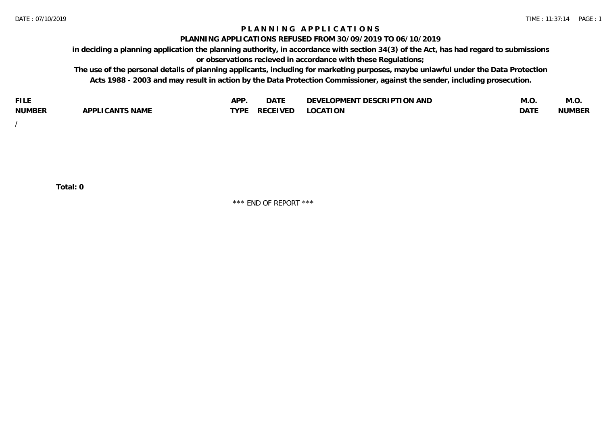# **P L A N N I N G A P P L I C A T I O N S**

#### **PLANNING APPLICATIONS REFUSED FROM 30/09/2019 TO 06/10/2019**

**in deciding a planning application the planning authority, in accordance with section 34(3) of the Act, has had regard to submissions or observations recieved in accordance with these Regulations;**

**The use of the personal details of planning applicants, including for marketing purposes, maybe unlawful under the Data Protection Acts 1988 - 2003 and may result in action by the Data Protection Commissioner, against the sender, including prosecution.**

| <b>FILE</b>   |                                                     | A DE        | $\sim$ $\sim$ $\sim$<br>DA I | <b>ENT DESCRIPTION AND</b><br>$\cap$ nn.<br>)E\/F<br>. JIEN L<br>பட | IVI.U       | IVI.U         |
|---------------|-----------------------------------------------------|-------------|------------------------------|---------------------------------------------------------------------|-------------|---------------|
| <b>NUMBER</b> | <b>ANTS NAME</b><br>A DDI<br>$\sqrt{2}$<br>CAN<br>u | <b>TVDL</b> | ◡⊢                           | <b>OCATION</b>                                                      | <b>DATF</b> | <b>NUMBER</b> |

/

**Total: 0**

\*\*\* END OF REPORT \*\*\*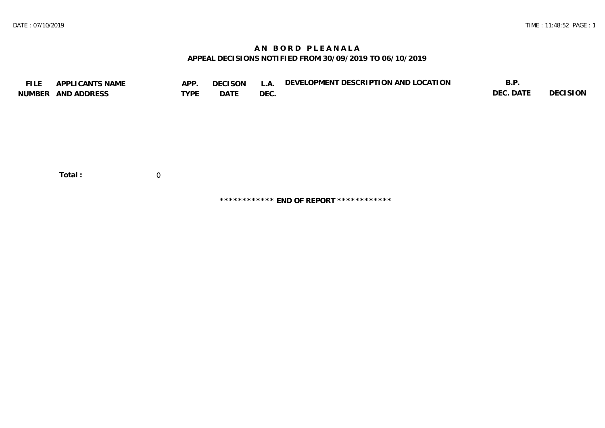# **A N B O R D P L E A N A L A APPEAL DECISIONS NOTIFIED FROM 30/09/2019 TO 06/10/2019**

| <b>FILE</b> | APPLICANTS NAME    | APP.           | <b>DECISON</b> | L.A. | DEVELOPMENT DESCRIPTION AND LOCATION | B.P.      |          |
|-------------|--------------------|----------------|----------------|------|--------------------------------------|-----------|----------|
|             | NUMBER AND ADDRESS | <b>TYPE</b>    | DATE           | DEC. |                                      | DEC. DATE | DECISION |
|             |                    |                |                |      |                                      |           |          |
|             |                    |                |                |      |                                      |           |          |
|             |                    |                |                |      |                                      |           |          |
|             |                    |                |                |      |                                      |           |          |
|             |                    |                |                |      |                                      |           |          |
|             |                    |                |                |      |                                      |           |          |
|             |                    |                |                |      |                                      |           |          |
|             | Total:             | $\overline{0}$ |                |      |                                      |           |          |

**\*\*\*\*\*\*\*\*\*\*\*\* END OF REPORT \*\*\*\*\*\*\*\*\*\*\*\***